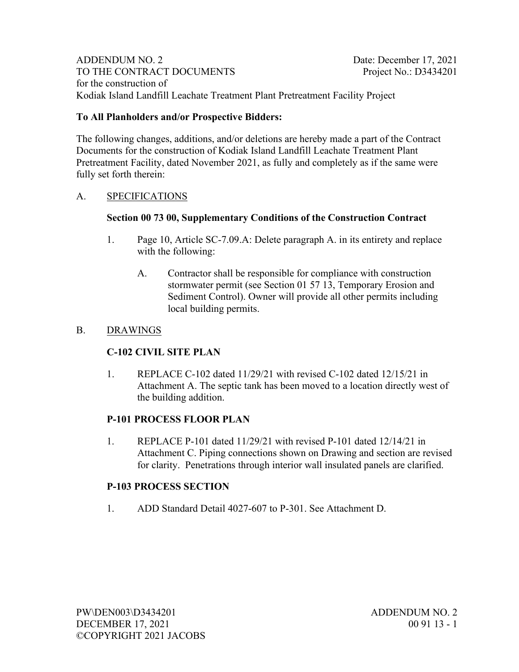ADDENDUM NO. 2 Date: December 17, 2021 TO THE CONTRACT DOCUMENTS Project No.: D3434201 for the construction of Kodiak Island Landfill Leachate Treatment Plant Pretreatment Facility Project

#### **To All Planholders and/or Prospective Bidders:**

The following changes, additions, and/or deletions are hereby made a part of the Contract Documents for the construction of Kodiak Island Landfill Leachate Treatment Plant Pretreatment Facility, dated November 2021, as fully and completely as if the same were fully set forth therein:

#### A. SPECIFICATIONS

#### **Section 00 73 00, Supplementary Conditions of the Construction Contract**

- 1. Page 10, Article SC-7.09.A: Delete paragraph A. in its entirety and replace with the following:
	- A. Contractor shall be responsible for compliance with construction stormwater permit (see Section 01 57 13, Temporary Erosion and Sediment Control). Owner will provide all other permits including local building permits.

#### B. DRAWINGS

## **C-102 CIVIL SITE PLAN**

1. REPLACE C-102 dated 11/29/21 with revised C-102 dated 12/15/21 in Attachment A. The septic tank has been moved to a location directly west of the building addition.

## **P-101 PROCESS FLOOR PLAN**

1. REPLACE P-101 dated  $11/29/21$  with revised P-101 dated  $12/14/21$  in Attachment C. Piping connections shown on Drawing and section are revised for clarity. Penetrations through interior wall insulated panels are clarified.

## **P-103 PROCESS SECTION**

1. ADD Standard Detail 4027-607 to P-301. See Attachment D.